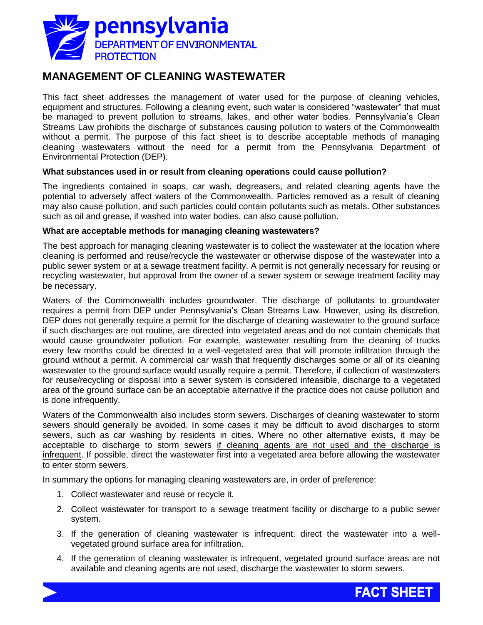

# **MANAGEMENT OF CLEANING WASTEWATER**

This fact sheet addresses the management of water used for the purpose of cleaning vehicles, equipment and structures. Following a cleaning event, such water is considered "wastewater" that must be managed to prevent pollution to streams, lakes, and other water bodies. Pennsylvania's Clean Streams Law prohibits the discharge of substances causing pollution to waters of the Commonwealth without a permit. The purpose of this fact sheet is to describe acceptable methods of managing cleaning wastewaters without the need for a permit from the Pennsylvania Department of Environmental Protection (DEP).

## **What substances used in or result from cleaning operations could cause pollution?**

The ingredients contained in soaps, car wash, degreasers, and related cleaning agents have the potential to adversely affect waters of the Commonwealth. Particles removed as a result of cleaning may also cause pollution, and such particles could contain pollutants such as metals. Other substances such as oil and grease, if washed into water bodies, can also cause pollution.

### **What are acceptable methods for managing cleaning wastewaters?**

The best approach for managing cleaning wastewater is to collect the wastewater at the location where cleaning is performed and reuse/recycle the wastewater or otherwise dispose of the wastewater into a public sewer system or at a sewage treatment facility. A permit is not generally necessary for reusing or recycling wastewater, but approval from the owner of a sewer system or sewage treatment facility may be necessary.

Waters of the Commonwealth includes groundwater. The discharge of pollutants to groundwater requires a permit from DEP under Pennsylvania's Clean Streams Law. However, using its discretion, DEP does not generally require a permit for the discharge of cleaning wastewater to the ground surface if such discharges are not routine, are directed into vegetated areas and do not contain chemicals that would cause groundwater pollution. For example, wastewater resulting from the cleaning of trucks every few months could be directed to a well-vegetated area that will promote infiltration through the ground without a permit. A commercial car wash that frequently discharges some or all of its cleaning wastewater to the ground surface would usually require a permit. Therefore, if collection of wastewaters for reuse/recycling or disposal into a sewer system is considered infeasible, discharge to a vegetated area of the ground surface can be an acceptable alternative if the practice does not cause pollution and is done infrequently.

Waters of the Commonwealth also includes storm sewers. Discharges of cleaning wastewater to storm sewers should generally be avoided. In some cases it may be difficult to avoid discharges to storm sewers, such as car washing by residents in cities. Where no other alternative exists, it may be acceptable to discharge to storm sewers if cleaning agents are not used and the discharge is infrequent. If possible, direct the wastewater first into a vegetated area before allowing the wastewater to enter storm sewers.

In summary the options for managing cleaning wastewaters are, in order of preference:

- 1. Collect wastewater and reuse or recycle it.
- 2. Collect wastewater for transport to a sewage treatment facility or discharge to a public sewer system.
- 3. If the generation of cleaning wastewater is infrequent, direct the wastewater into a wellvegetated ground surface area for infiltration.
- 4. If the generation of cleaning wastewater is infrequent, vegetated ground surface areas are not available and cleaning agents are not used, discharge the wastewater to storm sewers.